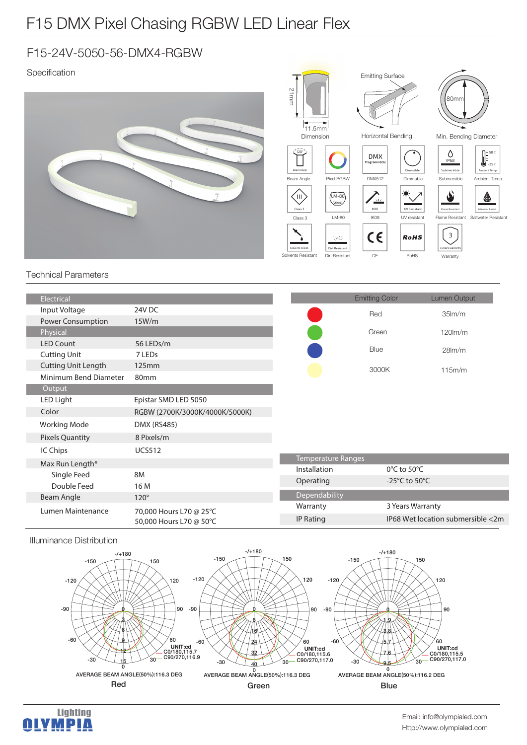## F15 DMX Pixel Chasing RGBW LED Linear Flex

## F15-24V-5050-56-DMX4-RGBW

## Specification



| Electrical                 |                                                    |                           | <b>Emitting Color</b>               | Lumen Output                      |
|----------------------------|----------------------------------------------------|---------------------------|-------------------------------------|-----------------------------------|
| Input Voltage              | 24V DC                                             |                           | Red                                 | 35 <sub>lm</sub> /m               |
| <b>Power Consumption</b>   | 15W/m                                              |                           |                                     |                                   |
| Physical                   |                                                    |                           | Green                               | $120$ lm/m                        |
| <b>LED Count</b>           | 56 LEDs/m                                          |                           | Blue                                | 28 <sub>lm</sub> /m               |
| <b>Cutting Unit</b>        | 7 LEDs                                             |                           |                                     |                                   |
| <b>Cutting Unit Length</b> | 125mm                                              |                           | 3000K                               | 115m/m                            |
| Minimum Bend Diameter      | 80 <sub>mm</sub>                                   |                           |                                     |                                   |
| Output                     |                                                    |                           |                                     |                                   |
| LED Light                  | Epistar SMD LED 5050                               |                           |                                     |                                   |
| Color                      | RGBW (2700K/3000K/4000K/5000K)                     |                           |                                     |                                   |
| <b>Working Mode</b>        | <b>DMX (RS485)</b>                                 |                           |                                     |                                   |
| <b>Pixels Quantity</b>     | 8 Pixels/m                                         |                           |                                     |                                   |
| IC Chips                   | <b>UCS512</b>                                      |                           |                                     |                                   |
| Max Run Length*            |                                                    | <b>Temperature Ranges</b> |                                     |                                   |
| Single Feed                | 8M                                                 | Installation              | $0^{\circ}$ C to 50 $^{\circ}$ C    |                                   |
| Double Feed                | 16 M                                               | Operating                 | -25 $^{\circ}$ C to 50 $^{\circ}$ C |                                   |
| <b>Beam Angle</b>          | $120^\circ$                                        | Dependability             |                                     |                                   |
| Lumen Maintenance          | 70,000 Hours L70 @ 25°C<br>50,000 Hours L70 @ 50°C | Warranty                  | 3 Years Warranty                    |                                   |
|                            |                                                    | <b>IP Rating</b>          |                                     | IP68 Wet location submersible <2m |
|                            |                                                    |                           |                                     |                                   |

Illuminance Distribution